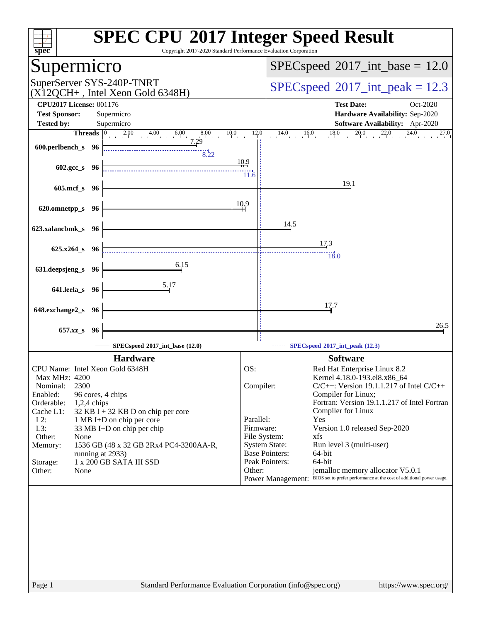| spec                                                                                     | <b>SPEC CPU®2017 Integer Speed Result</b><br>Copyright 2017-2020 Standard Performance Evaluation Corporation                          |
|------------------------------------------------------------------------------------------|---------------------------------------------------------------------------------------------------------------------------------------|
| Supermicro                                                                               | $SPEC speed^{\circ}2017\_int\_base = 12.0$                                                                                            |
| SuperServer SYS-240P-TNRT<br>$(X12QCH+$ , Intel Xeon Gold 6348H)                         | $SPEC speed^{\circ}2017\_int\_peak = 12.3$                                                                                            |
| <b>CPU2017 License: 001176</b><br><b>Test Sponsor:</b><br>Supermicro                     | <b>Test Date:</b><br>Oct-2020<br>Hardware Availability: Sep-2020                                                                      |
| <b>Tested by:</b><br>Supermicro<br>Threads   0<br>$2.00 \t 4.00$<br>8.00<br>10.0<br>6.00 | <b>Software Availability:</b> Apr-2020<br>16.0<br>18.0<br>20.0<br>12.0<br>14.0<br>$2\overline{2,0}$<br>27.0                           |
| 7.29<br>600.perlbench_s 96<br>8.22                                                       |                                                                                                                                       |
| 602.gcc_s 96                                                                             | 10.9<br>11.6                                                                                                                          |
| $605$ .mcf_s<br>- 96                                                                     | 19.1                                                                                                                                  |
| 620.omnetpp_s 96                                                                         | 10.9                                                                                                                                  |
| 623.xalancbmk_s 96                                                                       | 14.5                                                                                                                                  |
|                                                                                          | 17.3                                                                                                                                  |
| 625.x264_s 96                                                                            | 18.0                                                                                                                                  |
| 6.15<br>631.deepsjeng_s 96                                                               |                                                                                                                                       |
| 5.17                                                                                     |                                                                                                                                       |
| 641.leela_s 96                                                                           |                                                                                                                                       |
| 648.exchange2_s<br>-96                                                                   | 17.7                                                                                                                                  |
|                                                                                          |                                                                                                                                       |
| 657.xz_s<br>96                                                                           | 26.5                                                                                                                                  |
| SPECspeed®2017_int_base (12.0)                                                           | SPECspeed®2017_int_peak (12.3)                                                                                                        |
| <b>Hardware</b>                                                                          | <b>Software</b>                                                                                                                       |
| CPU Name: Intel Xeon Gold 6348H<br>Max MHz: 4200                                         | OS:<br>Red Hat Enterprise Linux 8.2<br>Kernel 4.18.0-193.el8.x86 64                                                                   |
| 2300<br>Nominal:                                                                         | Compiler:<br>$C/C++$ : Version 19.1.1.217 of Intel $C/C++$                                                                            |
| Enabled:<br>96 cores, 4 chips<br>Orderable:<br>$1,2,4$ chips                             | Compiler for Linux;<br>Fortran: Version 19.1.1.217 of Intel Fortran                                                                   |
| $32$ KB I + 32 KB D on chip per core<br>Cache L1:                                        | Compiler for Linux                                                                                                                    |
| $L2$ :<br>1 MB I+D on chip per core<br>L3:<br>33 MB I+D on chip per chip                 | Parallel:<br>Yes<br>Firmware:<br>Version 1.0 released Sep-2020                                                                        |
| Other:<br>None                                                                           | File System:<br>xfs                                                                                                                   |
| 1536 GB (48 x 32 GB 2Rx4 PC4-3200AA-R,<br>Memory:<br>running at 2933)                    | <b>System State:</b><br>Run level 3 (multi-user)<br><b>Base Pointers:</b><br>64-bit                                                   |
| 1 x 200 GB SATA III SSD<br>Storage:                                                      | Peak Pointers:<br>64-bit                                                                                                              |
| Other:<br>None                                                                           | Other:<br>jemalloc memory allocator V5.0.1<br>Power Management: BIOS set to prefer performance at the cost of additional power usage. |
|                                                                                          |                                                                                                                                       |
|                                                                                          |                                                                                                                                       |
|                                                                                          |                                                                                                                                       |
|                                                                                          |                                                                                                                                       |
|                                                                                          |                                                                                                                                       |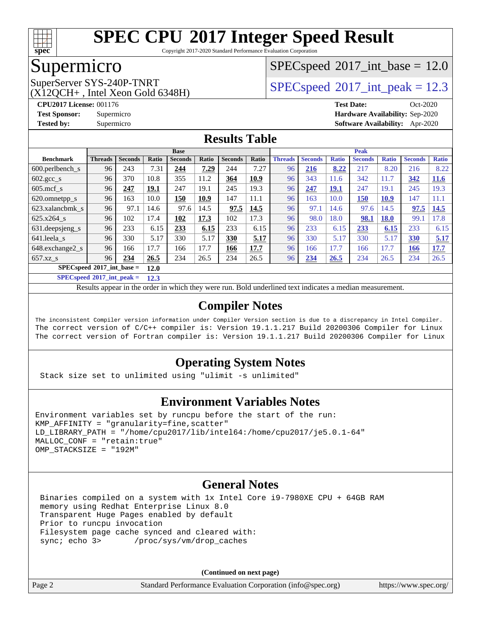

Copyright 2017-2020 Standard Performance Evaluation Corporation

#### Supermicro

#### $SPECspeed^{\circ}2017\_int\_base = 12.0$  $SPECspeed^{\circ}2017\_int\_base = 12.0$

 $(X12OCH+$ , Intel Xeon Gold 6348H)

SuperServer SYS-240P-TNRT  $SPEC speed^{\circ}2017$  int peak = 12.3

**[CPU2017 License:](http://www.spec.org/auto/cpu2017/Docs/result-fields.html#CPU2017License)** 001176 **[Test Date:](http://www.spec.org/auto/cpu2017/Docs/result-fields.html#TestDate)** Oct-2020 **[Test Sponsor:](http://www.spec.org/auto/cpu2017/Docs/result-fields.html#TestSponsor)** Supermicro **[Hardware Availability:](http://www.spec.org/auto/cpu2017/Docs/result-fields.html#HardwareAvailability)** Sep-2020 **[Tested by:](http://www.spec.org/auto/cpu2017/Docs/result-fields.html#Testedby)** Supermicro **[Software Availability:](http://www.spec.org/auto/cpu2017/Docs/result-fields.html#SoftwareAvailability)** Apr-2020

#### **[Results Table](http://www.spec.org/auto/cpu2017/Docs/result-fields.html#ResultsTable)**

|                                             | <b>Base</b>    |                |       |                |       |                | <b>Peak</b> |                |                |              |                |              |                |              |
|---------------------------------------------|----------------|----------------|-------|----------------|-------|----------------|-------------|----------------|----------------|--------------|----------------|--------------|----------------|--------------|
| <b>Benchmark</b>                            | <b>Threads</b> | <b>Seconds</b> | Ratio | <b>Seconds</b> | Ratio | <b>Seconds</b> | Ratio       | <b>Threads</b> | <b>Seconds</b> | <b>Ratio</b> | <b>Seconds</b> | <b>Ratio</b> | <b>Seconds</b> | <b>Ratio</b> |
| 600.perlbench s                             | 96             | 243            | 7.31  | 244            | 7.29  | 244            | 7.27        | 96             | 216            | 8.22         | 217            | 8.20         | 216            | 8.22         |
| $602.\text{sec}\_\text{s}$                  | 96             | 370            | 10.8  | 355            | 11.2  | 364            | 10.9        | 96             | 343            | 11.6         | 342            | 11.7         | 342            | 11.6         |
| $605$ .mcf s                                | 96             | 247            | 19.1  | 247            | 19.1  | 245            | 19.3        | 96             | 247            | <b>19.1</b>  | 247            | 19.1         | 245            | 19.3         |
| 620.omnetpp_s                               | 96             | 163            | 10.0  | 150            | 10.9  | 147            | 11.1        | 96             | 163            | 10.0         | 150            | <b>10.9</b>  | 147            | 11.1         |
| 623.xalancbmk s                             | 96             | 97.1           | 14.6  | 97.6           | 14.5  | 97.5           | 14.5        | 96             | 97.1           | 14.6         | 97.6           | 14.5         | 97.5           | 14.5         |
| 625.x264 s                                  | 96             | 102            | 17.4  | 102            | 17.3  | 102            | 17.3        | 96             | 98.0           | 18.0         | 98.1           | <b>18.0</b>  | 99.1           | 17.8         |
| 631.deepsjeng_s                             | 96             | 233            | 6.15  | 233            | 6.15  | 233            | 6.15        | 96             | 233            | 6.15         | 233            | 6.15         | 233            | 6.15         |
| 641.leela s                                 | 96             | 330            | 5.17  | 330            | 5.17  | 330            | 5.17        | 96             | 330            | 5.17         | 330            | 5.17         | 330            | 5.17         |
| 648.exchange2_s                             | 96             | 166            | 17.7  | 166            | 17.7  | 166            | 17.7        | 96             | 166            | 17.7         | 166            | 17.7         | <u>166</u>     | 17.7         |
| $657.xz$ s                                  | 96             | 234            | 26.5  | 234            | 26.5  | 234            | 26.5        | 96             | 234            | 26.5         | 234            | 26.5         | 234            | 26.5         |
| $SPEC speed^{\circ}2017$ int base =<br>12.0 |                |                |       |                |       |                |             |                |                |              |                |              |                |              |

**[SPECspeed](http://www.spec.org/auto/cpu2017/Docs/result-fields.html#SPECspeed2017intpeak)[2017\\_int\\_peak =](http://www.spec.org/auto/cpu2017/Docs/result-fields.html#SPECspeed2017intpeak) 12.3**

Results appear in the [order in which they were run.](http://www.spec.org/auto/cpu2017/Docs/result-fields.html#RunOrder) Bold underlined text [indicates a median measurement](http://www.spec.org/auto/cpu2017/Docs/result-fields.html#Median).

#### **[Compiler Notes](http://www.spec.org/auto/cpu2017/Docs/result-fields.html#CompilerNotes)**

The inconsistent Compiler version information under Compiler Version section is due to a discrepancy in Intel Compiler. The correct version of C/C++ compiler is: Version 19.1.1.217 Build 20200306 Compiler for Linux The correct version of Fortran compiler is: Version 19.1.1.217 Build 20200306 Compiler for Linux

#### **[Operating System Notes](http://www.spec.org/auto/cpu2017/Docs/result-fields.html#OperatingSystemNotes)**

Stack size set to unlimited using "ulimit -s unlimited"

#### **[Environment Variables Notes](http://www.spec.org/auto/cpu2017/Docs/result-fields.html#EnvironmentVariablesNotes)**

```
Environment variables set by runcpu before the start of the run:
KMP AFFINITY = "granularity=fine, scatter"
LD_LIBRARY_PATH = "/home/cpu2017/lib/intel64:/home/cpu2017/je5.0.1-64"
MALLOC_CONF = "retain:true"
OMP_STACKSIZE = "192M"
```
#### **[General Notes](http://www.spec.org/auto/cpu2017/Docs/result-fields.html#GeneralNotes)**

 Binaries compiled on a system with 1x Intel Core i9-7980XE CPU + 64GB RAM memory using Redhat Enterprise Linux 8.0 Transparent Huge Pages enabled by default Prior to runcpu invocation Filesystem page cache synced and cleared with:<br>sync: echo 3> /proc/sys/vm/drop\_caches /proc/sys/vm/drop\_caches

**(Continued on next page)**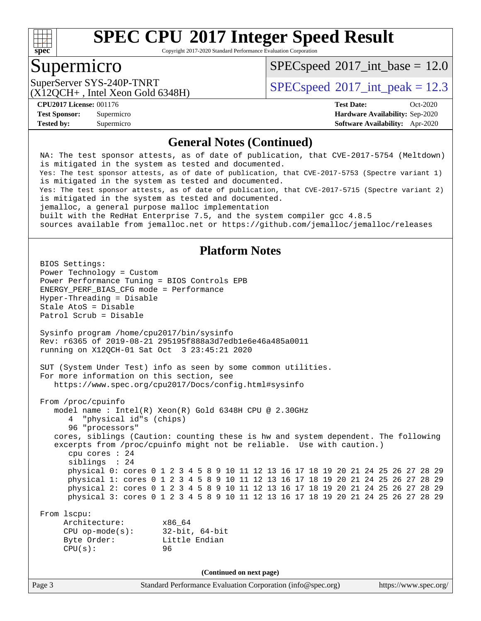

Copyright 2017-2020 Standard Performance Evaluation Corporation

#### Supermicro

 $SPECspeed^{\circ}2017\_int\_base = 12.0$  $SPECspeed^{\circ}2017\_int\_base = 12.0$ 

(X12QCH+ , Intel Xeon Gold 6348H)

SuperServer SYS-240P-TNRT  $SPEC speed^{\circ}2017$  int peak = 12.3

**[Tested by:](http://www.spec.org/auto/cpu2017/Docs/result-fields.html#Testedby)** Supermicro **[Software Availability:](http://www.spec.org/auto/cpu2017/Docs/result-fields.html#SoftwareAvailability)** Apr-2020

**[CPU2017 License:](http://www.spec.org/auto/cpu2017/Docs/result-fields.html#CPU2017License)** 001176 **[Test Date:](http://www.spec.org/auto/cpu2017/Docs/result-fields.html#TestDate)** Oct-2020 **[Test Sponsor:](http://www.spec.org/auto/cpu2017/Docs/result-fields.html#TestSponsor)** Supermicro **[Hardware Availability:](http://www.spec.org/auto/cpu2017/Docs/result-fields.html#HardwareAvailability)** Sep-2020

#### **[General Notes \(Continued\)](http://www.spec.org/auto/cpu2017/Docs/result-fields.html#GeneralNotes)**

 NA: The test sponsor attests, as of date of publication, that CVE-2017-5754 (Meltdown) is mitigated in the system as tested and documented. Yes: The test sponsor attests, as of date of publication, that CVE-2017-5753 (Spectre variant 1) is mitigated in the system as tested and documented. Yes: The test sponsor attests, as of date of publication, that CVE-2017-5715 (Spectre variant 2) is mitigated in the system as tested and documented. jemalloc, a general purpose malloc implementation built with the RedHat Enterprise 7.5, and the system compiler gcc 4.8.5 sources available from jemalloc.net or<https://github.com/jemalloc/jemalloc/releases> **[Platform Notes](http://www.spec.org/auto/cpu2017/Docs/result-fields.html#PlatformNotes)** BIOS Settings: Power Technology = Custom Power Performance Tuning = BIOS Controls EPB ENERGY\_PERF\_BIAS\_CFG mode = Performance Hyper-Threading = Disable Stale AtoS = Disable Patrol Scrub = Disable Sysinfo program /home/cpu2017/bin/sysinfo Rev: r6365 of 2019-08-21 295195f888a3d7edb1e6e46a485a0011 running on X12QCH-01 Sat Oct 3 23:45:21 2020 SUT (System Under Test) info as seen by some common utilities. For more information on this section, see <https://www.spec.org/cpu2017/Docs/config.html#sysinfo> From /proc/cpuinfo model name : Intel(R) Xeon(R) Gold 6348H CPU @ 2.30GHz 4 "physical id"s (chips) 96 "processors" cores, siblings (Caution: counting these is hw and system dependent. The following excerpts from /proc/cpuinfo might not be reliable. Use with caution.) cpu cores : 24 siblings : 24 physical 0: cores 0 1 2 3 4 5 8 9 10 11 12 13 16 17 18 19 20 21 24 25 26 27 28 29 physical 1: cores 0 1 2 3 4 5 8 9 10 11 12 13 16 17 18 19 20 21 24 25 26 27 28 29 physical 2: cores 0 1 2 3 4 5 8 9 10 11 12 13 16 17 18 19 20 21 24 25 26 27 28 29 physical 3: cores 0 1 2 3 4 5 8 9 10 11 12 13 16 17 18 19 20 21 24 25 26 27 28 29 From lscpu: Architecture: x86\_64 CPU op-mode(s): 32-bit, 64-bit Byte Order: Little Endian CPU(s): 96 **(Continued on next page)**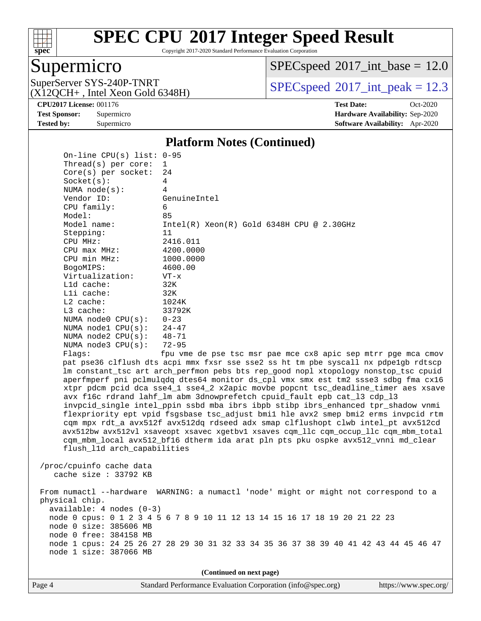

Copyright 2017-2020 Standard Performance Evaluation Corporation

 $SPECspeed^{\circledcirc}2017\_int\_base = 12.0$  $SPECspeed^{\circledcirc}2017\_int\_base = 12.0$ 

Supermicro<br>SuperServer SYS-240P-TNRT (X12QCH+ , Intel Xeon Gold 6348H)

On-line CPU(s) list: 0-95

 $SPECspeed^{\circ}2017\_int\_peak = 12.3$  $SPECspeed^{\circ}2017\_int\_peak = 12.3$ 

**[CPU2017 License:](http://www.spec.org/auto/cpu2017/Docs/result-fields.html#CPU2017License)** 001176 **[Test Date:](http://www.spec.org/auto/cpu2017/Docs/result-fields.html#TestDate)** Oct-2020 **[Test Sponsor:](http://www.spec.org/auto/cpu2017/Docs/result-fields.html#TestSponsor)** Supermicro **[Hardware Availability:](http://www.spec.org/auto/cpu2017/Docs/result-fields.html#HardwareAvailability)** Sep-2020 **[Tested by:](http://www.spec.org/auto/cpu2017/Docs/result-fields.html#Testedby)** Supermicro **[Software Availability:](http://www.spec.org/auto/cpu2017/Docs/result-fields.html#SoftwareAvailability)** Apr-2020

#### **[Platform Notes \(Continued\)](http://www.spec.org/auto/cpu2017/Docs/result-fields.html#PlatformNotes)**

| Thread(s) per core:                                                                            | $\mathbf{1}$                                                                                                                                                                                                                                                                                                                                                                                                                                                                                                                                                                                                                                                                                                                                                                                                                                                                                                                                |
|------------------------------------------------------------------------------------------------|---------------------------------------------------------------------------------------------------------------------------------------------------------------------------------------------------------------------------------------------------------------------------------------------------------------------------------------------------------------------------------------------------------------------------------------------------------------------------------------------------------------------------------------------------------------------------------------------------------------------------------------------------------------------------------------------------------------------------------------------------------------------------------------------------------------------------------------------------------------------------------------------------------------------------------------------|
| $Core(s)$ per socket:                                                                          | 24                                                                                                                                                                                                                                                                                                                                                                                                                                                                                                                                                                                                                                                                                                                                                                                                                                                                                                                                          |
| Socket(s):                                                                                     | 4                                                                                                                                                                                                                                                                                                                                                                                                                                                                                                                                                                                                                                                                                                                                                                                                                                                                                                                                           |
| NUMA $node(s):$                                                                                | 4                                                                                                                                                                                                                                                                                                                                                                                                                                                                                                                                                                                                                                                                                                                                                                                                                                                                                                                                           |
| Vendor ID:                                                                                     | GenuineIntel                                                                                                                                                                                                                                                                                                                                                                                                                                                                                                                                                                                                                                                                                                                                                                                                                                                                                                                                |
| CPU family:                                                                                    | 6                                                                                                                                                                                                                                                                                                                                                                                                                                                                                                                                                                                                                                                                                                                                                                                                                                                                                                                                           |
| Model:                                                                                         | 85                                                                                                                                                                                                                                                                                                                                                                                                                                                                                                                                                                                                                                                                                                                                                                                                                                                                                                                                          |
| Model name:                                                                                    | $Intel(R)$ Xeon $(R)$ Gold 6348H CPU @ 2.30GHz                                                                                                                                                                                                                                                                                                                                                                                                                                                                                                                                                                                                                                                                                                                                                                                                                                                                                              |
| Stepping:                                                                                      | 11                                                                                                                                                                                                                                                                                                                                                                                                                                                                                                                                                                                                                                                                                                                                                                                                                                                                                                                                          |
| CPU MHz:                                                                                       | 2416.011                                                                                                                                                                                                                                                                                                                                                                                                                                                                                                                                                                                                                                                                                                                                                                                                                                                                                                                                    |
| $CPU$ max $MHz$ :                                                                              | 4200.0000                                                                                                                                                                                                                                                                                                                                                                                                                                                                                                                                                                                                                                                                                                                                                                                                                                                                                                                                   |
| CPU min MHz:                                                                                   | 1000.0000                                                                                                                                                                                                                                                                                                                                                                                                                                                                                                                                                                                                                                                                                                                                                                                                                                                                                                                                   |
| BogoMIPS:                                                                                      | 4600.00                                                                                                                                                                                                                                                                                                                                                                                                                                                                                                                                                                                                                                                                                                                                                                                                                                                                                                                                     |
| Virtualization:                                                                                | $VT - x$                                                                                                                                                                                                                                                                                                                                                                                                                                                                                                                                                                                                                                                                                                                                                                                                                                                                                                                                    |
| L1d cache:                                                                                     | 32K                                                                                                                                                                                                                                                                                                                                                                                                                                                                                                                                                                                                                                                                                                                                                                                                                                                                                                                                         |
| Lli cache:                                                                                     | 32K                                                                                                                                                                                                                                                                                                                                                                                                                                                                                                                                                                                                                                                                                                                                                                                                                                                                                                                                         |
| $L2$ cache:                                                                                    | 1024K                                                                                                                                                                                                                                                                                                                                                                                                                                                                                                                                                                                                                                                                                                                                                                                                                                                                                                                                       |
| $L3$ cache:                                                                                    | 33792K                                                                                                                                                                                                                                                                                                                                                                                                                                                                                                                                                                                                                                                                                                                                                                                                                                                                                                                                      |
| NUMA $node0$ $CPU(s):$                                                                         | $0 - 23$                                                                                                                                                                                                                                                                                                                                                                                                                                                                                                                                                                                                                                                                                                                                                                                                                                                                                                                                    |
| NUMA $node1$ $CPU(s)$ :                                                                        | $24 - 47$                                                                                                                                                                                                                                                                                                                                                                                                                                                                                                                                                                                                                                                                                                                                                                                                                                                                                                                                   |
| NUMA $node2$ $CPU(s):$                                                                         | $48 - 71$                                                                                                                                                                                                                                                                                                                                                                                                                                                                                                                                                                                                                                                                                                                                                                                                                                                                                                                                   |
| NUMA node3 CPU(s):                                                                             | $72 - 95$                                                                                                                                                                                                                                                                                                                                                                                                                                                                                                                                                                                                                                                                                                                                                                                                                                                                                                                                   |
| Flaqs:<br>flush_l1d arch_capabilities                                                          | fpu vme de pse tsc msr pae mce cx8 apic sep mtrr pge mca cmov<br>pat pse36 clflush dts acpi mmx fxsr sse sse2 ss ht tm pbe syscall nx pdpelgb rdtscp<br>lm constant_tsc art arch_perfmon pebs bts rep_good nopl xtopology nonstop_tsc cpuid<br>aperfmperf pni pclmulqdq dtes64 monitor ds_cpl vmx smx est tm2 ssse3 sdbg fma cx16<br>xtpr pdcm pcid dca sse4_1 sse4_2 x2apic movbe popcnt tsc_deadline_timer aes xsave<br>avx f16c rdrand lahf_lm abm 3dnowprefetch cpuid_fault epb cat_13 cdp_13<br>invpcid_single intel_ppin ssbd mba ibrs ibpb stibp ibrs_enhanced tpr_shadow vnmi<br>flexpriority ept vpid fsgsbase tsc_adjust bmil hle avx2 smep bmi2 erms invpcid rtm<br>cqm mpx rdt_a avx512f avx512dq rdseed adx smap clflushopt clwb intel_pt avx512cd<br>avx512bw avx512vl xsaveopt xsavec xgetbvl xsaves cqm_llc cqm_occup_llc cqm_mbm_total<br>cqm_mbm_local avx512_bf16 dtherm ida arat pln pts pku ospke avx512_vnni md_clear |
| /proc/cpuinfo cache data<br>cache size $: 33792$ KB                                            |                                                                                                                                                                                                                                                                                                                                                                                                                                                                                                                                                                                                                                                                                                                                                                                                                                                                                                                                             |
| physical chip.<br>available: 4 nodes (0-3)<br>node 0 size: 385606 MB<br>node 0 free: 384158 MB | From numactl --hardware WARNING: a numactl 'node' might or might not correspond to a<br>node 0 cpus: 0 1 2 3 4 5 6 7 8 9 10 11 12 13 14 15 16 17 18 19 20 21 22 23                                                                                                                                                                                                                                                                                                                                                                                                                                                                                                                                                                                                                                                                                                                                                                          |

**(Continued on next page)**

node 1 cpus: 24 25 26 27 28 29 30 31 32 33 34 35 36 37 38 39 40 41 42 43 44 45 46 47

node 1 size: 387066 MB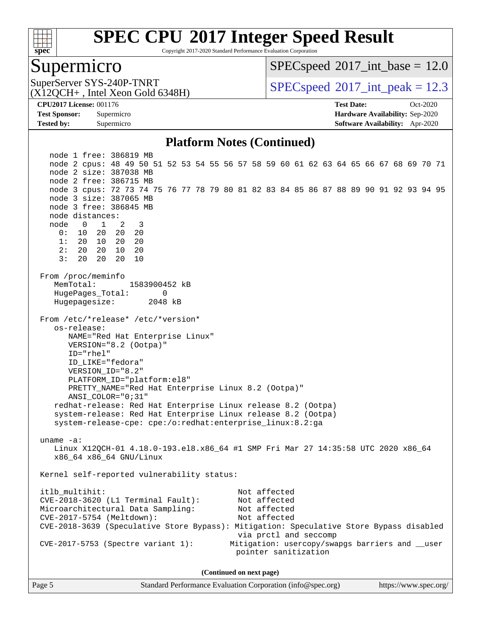

Copyright 2017-2020 Standard Performance Evaluation Corporation

#### Supermicro

 $SPECspeed^{\circ}2017\_int\_base = 12.0$  $SPECspeed^{\circ}2017\_int\_base = 12.0$ 

(X12QCH+ , Intel Xeon Gold 6348H)

SuperServer SYS-240P-TNRT <br> $SPEC speed^{\circ}2017$ \_int\_peak = 12.3

**[Tested by:](http://www.spec.org/auto/cpu2017/Docs/result-fields.html#Testedby)** Supermicro **[Software Availability:](http://www.spec.org/auto/cpu2017/Docs/result-fields.html#SoftwareAvailability)** Apr-2020

**[CPU2017 License:](http://www.spec.org/auto/cpu2017/Docs/result-fields.html#CPU2017License)** 001176 **[Test Date:](http://www.spec.org/auto/cpu2017/Docs/result-fields.html#TestDate)** Oct-2020 **[Test Sponsor:](http://www.spec.org/auto/cpu2017/Docs/result-fields.html#TestSponsor)** Supermicro **[Hardware Availability:](http://www.spec.org/auto/cpu2017/Docs/result-fields.html#HardwareAvailability)** Sep-2020

#### **[Platform Notes \(Continued\)](http://www.spec.org/auto/cpu2017/Docs/result-fields.html#PlatformNotes)**

 node 1 free: 386819 MB node 2 cpus: 48 49 50 51 52 53 54 55 56 57 58 59 60 61 62 63 64 65 66 67 68 69 70 71 node 2 size: 387038 MB node 2 free: 386715 MB node 3 cpus: 72 73 74 75 76 77 78 79 80 81 82 83 84 85 86 87 88 89 90 91 92 93 94 95 node 3 size: 387065 MB node 3 free: 386845 MB node distances: node 0 1 2 3 0: 10 20 20 20 1: 20 10 20 20 2: 20 20 10 20 3: 20 20 20 10 From /proc/meminfo MemTotal: 1583900452 kB HugePages\_Total: 0 Hugepagesize: 2048 kB From /etc/\*release\* /etc/\*version\* os-release: NAME="Red Hat Enterprise Linux" VERSION="8.2 (Ootpa)" ID="rhel" ID\_LIKE="fedora" VERSION\_ID="8.2" PLATFORM\_ID="platform:el8" PRETTY\_NAME="Red Hat Enterprise Linux 8.2 (Ootpa)" ANSI\_COLOR="0;31" redhat-release: Red Hat Enterprise Linux release 8.2 (Ootpa) system-release: Red Hat Enterprise Linux release 8.2 (Ootpa) system-release-cpe: cpe:/o:redhat:enterprise\_linux:8.2:ga uname -a: Linux X12QCH-01 4.18.0-193.el8.x86\_64 #1 SMP Fri Mar 27 14:35:58 UTC 2020 x86\_64 x86\_64 x86\_64 GNU/Linux Kernel self-reported vulnerability status: itlb\_multihit: Not affected CVE-2018-3620 (L1 Terminal Fault): Not affected Microarchitectural Data Sampling: Not affected CVE-2017-5754 (Meltdown): Not affected CVE-2018-3639 (Speculative Store Bypass): Mitigation: Speculative Store Bypass disabled via prctl and seccomp CVE-2017-5753 (Spectre variant 1): Mitigation: usercopy/swapgs barriers and \_\_user pointer sanitization **(Continued on next page)**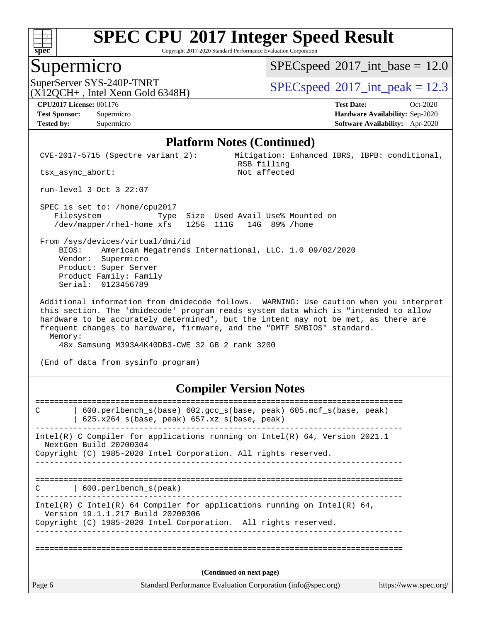

Copyright 2017-2020 Standard Performance Evaluation Corporation

#### Supermicro

 $SPECspeed^{\circ}2017\_int\_base = 12.0$  $SPECspeed^{\circ}2017\_int\_base = 12.0$ 

 $(X12OCH+$ , Intel Xeon Gold 6348H)

SuperServer SYS-240P-TNRT  $SPEC speed^{\circ}2017$  int peak = 12.3

**[Tested by:](http://www.spec.org/auto/cpu2017/Docs/result-fields.html#Testedby)** Supermicro **[Software Availability:](http://www.spec.org/auto/cpu2017/Docs/result-fields.html#SoftwareAvailability)** Apr-2020

**[CPU2017 License:](http://www.spec.org/auto/cpu2017/Docs/result-fields.html#CPU2017License)** 001176 **[Test Date:](http://www.spec.org/auto/cpu2017/Docs/result-fields.html#TestDate)** Oct-2020 **[Test Sponsor:](http://www.spec.org/auto/cpu2017/Docs/result-fields.html#TestSponsor)** Supermicro **[Hardware Availability:](http://www.spec.org/auto/cpu2017/Docs/result-fields.html#HardwareAvailability)** Sep-2020

#### **[Platform Notes \(Continued\)](http://www.spec.org/auto/cpu2017/Docs/result-fields.html#PlatformNotes)**

 CVE-2017-5715 (Spectre variant 2): Mitigation: Enhanced IBRS, IBPB: conditional, RSB filling<br>Not affected

run-level 3 Oct 3 22:07

tsx\_async\_abort:

 SPEC is set to: /home/cpu2017 Filesystem Type Size Used Avail Use% Mounted on /dev/mapper/rhel-home xfs 125G 111G 14G 89% /home

 From /sys/devices/virtual/dmi/id BIOS: American Megatrends International, LLC. 1.0 09/02/2020 Vendor: Supermicro Product: Super Server Product Family: Family Serial: 0123456789

 Additional information from dmidecode follows. WARNING: Use caution when you interpret this section. The 'dmidecode' program reads system data which is "intended to allow hardware to be accurately determined", but the intent may not be met, as there are frequent changes to hardware, firmware, and the "DMTF SMBIOS" standard. Memory:

48x Samsung M393A4K40DB3-CWE 32 GB 2 rank 3200

(End of data from sysinfo program)

#### **[Compiler Version Notes](http://www.spec.org/auto/cpu2017/Docs/result-fields.html#CompilerVersionNotes)**

Page 6 Standard Performance Evaluation Corporation [\(info@spec.org\)](mailto:info@spec.org) <https://www.spec.org/> ============================================================================== C | 600.perlbench\_s(base) 602.gcc\_s(base, peak) 605.mcf\_s(base, peak) | 625.x264\_s(base, peak) 657.xz\_s(base, peak) ------------------------------------------------------------------------------ Intel(R) C Compiler for applications running on Intel(R) 64, Version 2021.1 NextGen Build 20200304 Copyright (C) 1985-2020 Intel Corporation. All rights reserved. ------------------------------------------------------------------------------ ============================================================================== C | 600.perlbench s(peak) ------------------------------------------------------------------------------ Intel(R) C Intel(R) 64 Compiler for applications running on Intel(R) 64, Version 19.1.1.217 Build 20200306 Copyright (C) 1985-2020 Intel Corporation. All rights reserved. ------------------------------------------------------------------------------ ============================================================================== **(Continued on next page)**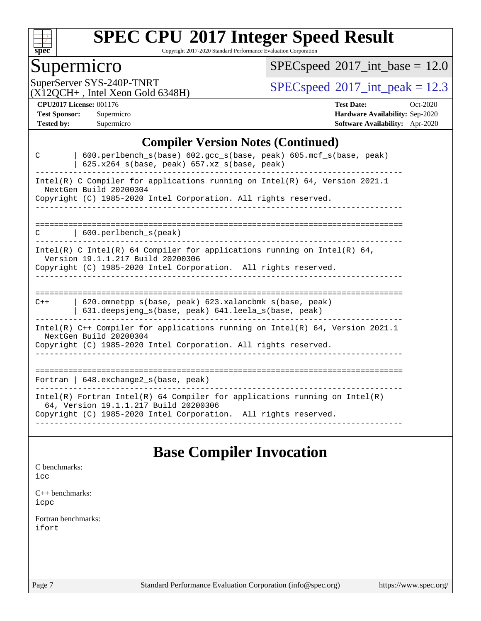

Copyright 2017-2020 Standard Performance Evaluation Corporation

### Supermicro

 $SPEC speed$ <sup>®</sup> $2017$ \_int\_base = 12.0

(X12QCH+ , Intel Xeon Gold 6348H)

SuperServer SYS-240P-TNRT  $SPEC speed^{\circ}2017\_int\_peak = 12.3$ 

**[CPU2017 License:](http://www.spec.org/auto/cpu2017/Docs/result-fields.html#CPU2017License)** 001176 **[Test Date:](http://www.spec.org/auto/cpu2017/Docs/result-fields.html#TestDate)** Oct-2020 **[Test Sponsor:](http://www.spec.org/auto/cpu2017/Docs/result-fields.html#TestSponsor)** Supermicro **[Hardware Availability:](http://www.spec.org/auto/cpu2017/Docs/result-fields.html#HardwareAvailability)** Sep-2020 **[Tested by:](http://www.spec.org/auto/cpu2017/Docs/result-fields.html#Testedby)** Supermicro **[Software Availability:](http://www.spec.org/auto/cpu2017/Docs/result-fields.html#SoftwareAvailability)** Apr-2020

#### **[Compiler Version Notes \(Continued\)](http://www.spec.org/auto/cpu2017/Docs/result-fields.html#CompilerVersionNotes)**

| 600.perlbench_s(base) 602.gcc_s(base, peak) 605.mcf_s(base, peak)<br>C<br>$625.x264_s(base, peak)$ 657.xz <sub>_S</sub> (base, peak)                                                   |  |  |  |  |  |  |
|----------------------------------------------------------------------------------------------------------------------------------------------------------------------------------------|--|--|--|--|--|--|
| Intel(R) C Compiler for applications running on Intel(R) $64$ , Version 2021.1<br>NextGen Build 20200304<br>Copyright (C) 1985-2020 Intel Corporation. All rights reserved.            |  |  |  |  |  |  |
|                                                                                                                                                                                        |  |  |  |  |  |  |
| $\vert$ 600.perlbench s(peak)<br>C                                                                                                                                                     |  |  |  |  |  |  |
| Intel(R) C Intel(R) 64 Compiler for applications running on Intel(R) 64,<br>Version 19.1.1.217 Build 20200306<br>Copyright (C) 1985-2020 Intel Corporation. All rights reserved.       |  |  |  |  |  |  |
|                                                                                                                                                                                        |  |  |  |  |  |  |
| 620.omnetpp s(base, peak) 623.xalancbmk s(base, peak)<br>$C++$<br>631.deepsjeng_s(base, peak) 641.leela_s(base, peak)                                                                  |  |  |  |  |  |  |
| Intel(R) $C++$ Compiler for applications running on Intel(R) 64, Version 2021.1<br>NextGen Build 20200304<br>Copyright (C) 1985-2020 Intel Corporation. All rights reserved.           |  |  |  |  |  |  |
|                                                                                                                                                                                        |  |  |  |  |  |  |
| Fortran   $648$ . exchange2 $s$ (base, peak)                                                                                                                                           |  |  |  |  |  |  |
| Intel(R) Fortran Intel(R) 64 Compiler for applications running on Intel(R)<br>64, Version 19.1.1.217 Build 20200306<br>Copyright (C) 1985-2020 Intel Corporation. All rights reserved. |  |  |  |  |  |  |
|                                                                                                                                                                                        |  |  |  |  |  |  |

### **[Base Compiler Invocation](http://www.spec.org/auto/cpu2017/Docs/result-fields.html#BaseCompilerInvocation)**

[C benchmarks](http://www.spec.org/auto/cpu2017/Docs/result-fields.html#Cbenchmarks): [icc](http://www.spec.org/cpu2017/results/res2020q4/cpu2017-20201012-24185.flags.html#user_CCbase_intel_icc_66fc1ee009f7361af1fbd72ca7dcefbb700085f36577c54f309893dd4ec40d12360134090235512931783d35fd58c0460139e722d5067c5574d8eaf2b3e37e92)

[C++ benchmarks:](http://www.spec.org/auto/cpu2017/Docs/result-fields.html#CXXbenchmarks) [icpc](http://www.spec.org/cpu2017/results/res2020q4/cpu2017-20201012-24185.flags.html#user_CXXbase_intel_icpc_c510b6838c7f56d33e37e94d029a35b4a7bccf4766a728ee175e80a419847e808290a9b78be685c44ab727ea267ec2f070ec5dc83b407c0218cded6866a35d07)

[Fortran benchmarks](http://www.spec.org/auto/cpu2017/Docs/result-fields.html#Fortranbenchmarks): [ifort](http://www.spec.org/cpu2017/results/res2020q4/cpu2017-20201012-24185.flags.html#user_FCbase_intel_ifort_8111460550e3ca792625aed983ce982f94888b8b503583aa7ba2b8303487b4d8a21a13e7191a45c5fd58ff318f48f9492884d4413fa793fd88dd292cad7027ca)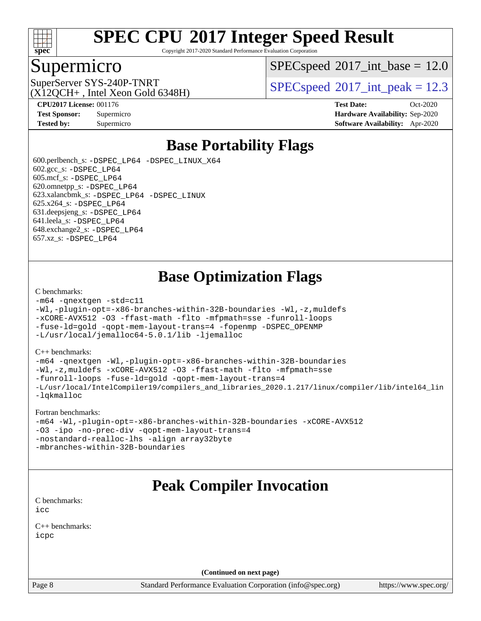

Copyright 2017-2020 Standard Performance Evaluation Corporation

#### Supermicro

 $SPECspeed^{\circ}2017\_int\_base = 12.0$  $SPECspeed^{\circ}2017\_int\_base = 12.0$ 

 $(X12OCH+$ , Intel Xeon Gold 6348H)

SuperServer SYS-240P-TNRT <br> $SPEC speed^{\circ}2017$ \_int\_peak = 12.3

**[CPU2017 License:](http://www.spec.org/auto/cpu2017/Docs/result-fields.html#CPU2017License)** 001176 **[Test Date:](http://www.spec.org/auto/cpu2017/Docs/result-fields.html#TestDate)** Oct-2020 **[Test Sponsor:](http://www.spec.org/auto/cpu2017/Docs/result-fields.html#TestSponsor)** Supermicro **[Hardware Availability:](http://www.spec.org/auto/cpu2017/Docs/result-fields.html#HardwareAvailability)** Sep-2020 **[Tested by:](http://www.spec.org/auto/cpu2017/Docs/result-fields.html#Testedby)** Supermicro **[Software Availability:](http://www.spec.org/auto/cpu2017/Docs/result-fields.html#SoftwareAvailability)** Apr-2020

## **[Base Portability Flags](http://www.spec.org/auto/cpu2017/Docs/result-fields.html#BasePortabilityFlags)**

 600.perlbench\_s: [-DSPEC\\_LP64](http://www.spec.org/cpu2017/results/res2020q4/cpu2017-20201012-24185.flags.html#b600.perlbench_s_basePORTABILITY_DSPEC_LP64) [-DSPEC\\_LINUX\\_X64](http://www.spec.org/cpu2017/results/res2020q4/cpu2017-20201012-24185.flags.html#b600.perlbench_s_baseCPORTABILITY_DSPEC_LINUX_X64)  $602.\text{gcc}\$ s:  $-DSPEC$  LP64 605.mcf\_s: [-DSPEC\\_LP64](http://www.spec.org/cpu2017/results/res2020q4/cpu2017-20201012-24185.flags.html#suite_basePORTABILITY605_mcf_s_DSPEC_LP64) 620.omnetpp\_s: [-DSPEC\\_LP64](http://www.spec.org/cpu2017/results/res2020q4/cpu2017-20201012-24185.flags.html#suite_basePORTABILITY620_omnetpp_s_DSPEC_LP64) 623.xalancbmk\_s: [-DSPEC\\_LP64](http://www.spec.org/cpu2017/results/res2020q4/cpu2017-20201012-24185.flags.html#suite_basePORTABILITY623_xalancbmk_s_DSPEC_LP64) [-DSPEC\\_LINUX](http://www.spec.org/cpu2017/results/res2020q4/cpu2017-20201012-24185.flags.html#b623.xalancbmk_s_baseCXXPORTABILITY_DSPEC_LINUX) 625.x264\_s: [-DSPEC\\_LP64](http://www.spec.org/cpu2017/results/res2020q4/cpu2017-20201012-24185.flags.html#suite_basePORTABILITY625_x264_s_DSPEC_LP64) 631.deepsjeng\_s: [-DSPEC\\_LP64](http://www.spec.org/cpu2017/results/res2020q4/cpu2017-20201012-24185.flags.html#suite_basePORTABILITY631_deepsjeng_s_DSPEC_LP64) 641.leela\_s: [-DSPEC\\_LP64](http://www.spec.org/cpu2017/results/res2020q4/cpu2017-20201012-24185.flags.html#suite_basePORTABILITY641_leela_s_DSPEC_LP64) 648.exchange2\_s: [-DSPEC\\_LP64](http://www.spec.org/cpu2017/results/res2020q4/cpu2017-20201012-24185.flags.html#suite_basePORTABILITY648_exchange2_s_DSPEC_LP64) 657.xz\_s: [-DSPEC\\_LP64](http://www.spec.org/cpu2017/results/res2020q4/cpu2017-20201012-24185.flags.html#suite_basePORTABILITY657_xz_s_DSPEC_LP64)

## **[Base Optimization Flags](http://www.spec.org/auto/cpu2017/Docs/result-fields.html#BaseOptimizationFlags)**

#### [C benchmarks](http://www.spec.org/auto/cpu2017/Docs/result-fields.html#Cbenchmarks):

```
-m64 -qnextgen -std=c11
-Wl,-plugin-opt=-x86-branches-within-32B-boundaries -Wl,-z,muldefs
-xCORE-AVX512 -O3 -ffast-math -flto -mfpmath=sse -funroll-loops
-fuse-ld=gold -qopt-mem-layout-trans=4 -fopenmp -DSPEC_OPENMP
-L/usr/local/jemalloc64-5.0.1/lib -ljemalloc
```
#### [C++ benchmarks:](http://www.spec.org/auto/cpu2017/Docs/result-fields.html#CXXbenchmarks)

```
-m64 -qnextgen -Wl,-plugin-opt=-x86-branches-within-32B-boundaries
-Wl,-z,muldefs -xCORE-AVX512 -O3 -ffast-math -flto -mfpmath=sse
-funroll-loops -fuse-ld=gold -qopt-mem-layout-trans=4
-L/usr/local/IntelCompiler19/compilers_and_libraries_2020.1.217/linux/compiler/lib/intel64_lin
-lqkmalloc
```
#### [Fortran benchmarks:](http://www.spec.org/auto/cpu2017/Docs/result-fields.html#Fortranbenchmarks)

```
-m64 -Wl,-plugin-opt=-x86-branches-within-32B-boundaries -xCORE-AVX512
-O3 -ipo -no-prec-div -qopt-mem-layout-trans=4
-nostandard-realloc-lhs -align array32byte
-mbranches-within-32B-boundaries
```
## **[Peak Compiler Invocation](http://www.spec.org/auto/cpu2017/Docs/result-fields.html#PeakCompilerInvocation)**

[C benchmarks](http://www.spec.org/auto/cpu2017/Docs/result-fields.html#Cbenchmarks): [icc](http://www.spec.org/cpu2017/results/res2020q4/cpu2017-20201012-24185.flags.html#user_CCpeak_intel_icc_66fc1ee009f7361af1fbd72ca7dcefbb700085f36577c54f309893dd4ec40d12360134090235512931783d35fd58c0460139e722d5067c5574d8eaf2b3e37e92)

[C++ benchmarks:](http://www.spec.org/auto/cpu2017/Docs/result-fields.html#CXXbenchmarks) [icpc](http://www.spec.org/cpu2017/results/res2020q4/cpu2017-20201012-24185.flags.html#user_CXXpeak_intel_icpc_c510b6838c7f56d33e37e94d029a35b4a7bccf4766a728ee175e80a419847e808290a9b78be685c44ab727ea267ec2f070ec5dc83b407c0218cded6866a35d07)

**(Continued on next page)**

Page 8 Standard Performance Evaluation Corporation [\(info@spec.org\)](mailto:info@spec.org) <https://www.spec.org/>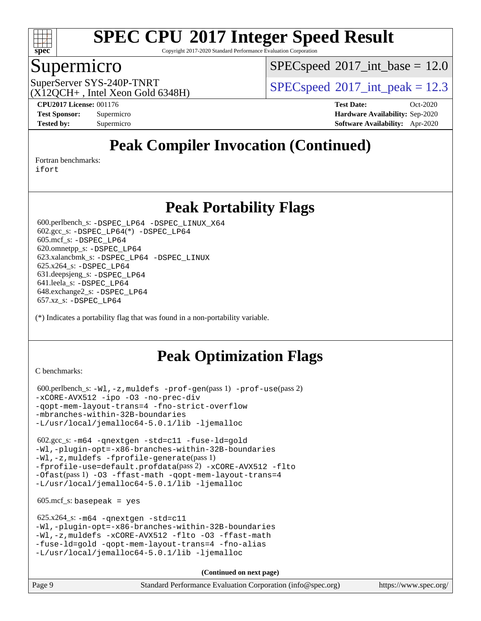

Copyright 2017-2020 Standard Performance Evaluation Corporation

#### Supermicro

 $SPECspeed^{\circ}2017\_int\_base = 12.0$  $SPECspeed^{\circ}2017\_int\_base = 12.0$ 

 $(X12OCH+$ , Intel Xeon Gold 6348H)

SuperServer SYS-240P-TNRT  $SUS - 240P$ -TNRT  $SPEC speed^{\circ}2017$  int peak = 12.3

**[CPU2017 License:](http://www.spec.org/auto/cpu2017/Docs/result-fields.html#CPU2017License)** 001176 **[Test Date:](http://www.spec.org/auto/cpu2017/Docs/result-fields.html#TestDate)** Oct-2020 **[Test Sponsor:](http://www.spec.org/auto/cpu2017/Docs/result-fields.html#TestSponsor)** Supermicro **[Hardware Availability:](http://www.spec.org/auto/cpu2017/Docs/result-fields.html#HardwareAvailability)** Sep-2020 **[Tested by:](http://www.spec.org/auto/cpu2017/Docs/result-fields.html#Testedby)** Supermicro **[Software Availability:](http://www.spec.org/auto/cpu2017/Docs/result-fields.html#SoftwareAvailability)** Apr-2020

## **[Peak Compiler Invocation \(Continued\)](http://www.spec.org/auto/cpu2017/Docs/result-fields.html#PeakCompilerInvocation)**

[Fortran benchmarks](http://www.spec.org/auto/cpu2017/Docs/result-fields.html#Fortranbenchmarks):

[ifort](http://www.spec.org/cpu2017/results/res2020q4/cpu2017-20201012-24185.flags.html#user_FCpeak_intel_ifort_8111460550e3ca792625aed983ce982f94888b8b503583aa7ba2b8303487b4d8a21a13e7191a45c5fd58ff318f48f9492884d4413fa793fd88dd292cad7027ca)

### **[Peak Portability Flags](http://www.spec.org/auto/cpu2017/Docs/result-fields.html#PeakPortabilityFlags)**

 600.perlbench\_s: [-DSPEC\\_LP64](http://www.spec.org/cpu2017/results/res2020q4/cpu2017-20201012-24185.flags.html#b600.perlbench_s_peakPORTABILITY_DSPEC_LP64) [-DSPEC\\_LINUX\\_X64](http://www.spec.org/cpu2017/results/res2020q4/cpu2017-20201012-24185.flags.html#b600.perlbench_s_peakCPORTABILITY_DSPEC_LINUX_X64) 602.gcc\_s: [-DSPEC\\_LP64](http://www.spec.org/cpu2017/results/res2020q4/cpu2017-20201012-24185.flags.html#suite_peakCCLD602_gcc_s_DSPEC_LP64)(\*) [-DSPEC\\_LP64](http://www.spec.org/cpu2017/results/res2020q4/cpu2017-20201012-24185.flags.html#suite_peakPORTABILITY602_gcc_s_DSPEC_LP64) 605.mcf\_s: [-DSPEC\\_LP64](http://www.spec.org/cpu2017/results/res2020q4/cpu2017-20201012-24185.flags.html#suite_peakPORTABILITY605_mcf_s_DSPEC_LP64) 620.omnetpp\_s: [-DSPEC\\_LP64](http://www.spec.org/cpu2017/results/res2020q4/cpu2017-20201012-24185.flags.html#suite_peakPORTABILITY620_omnetpp_s_DSPEC_LP64) 623.xalancbmk\_s: [-DSPEC\\_LP64](http://www.spec.org/cpu2017/results/res2020q4/cpu2017-20201012-24185.flags.html#suite_peakPORTABILITY623_xalancbmk_s_DSPEC_LP64) [-DSPEC\\_LINUX](http://www.spec.org/cpu2017/results/res2020q4/cpu2017-20201012-24185.flags.html#b623.xalancbmk_s_peakCXXPORTABILITY_DSPEC_LINUX) 625.x264\_s: [-DSPEC\\_LP64](http://www.spec.org/cpu2017/results/res2020q4/cpu2017-20201012-24185.flags.html#suite_peakPORTABILITY625_x264_s_DSPEC_LP64) 631.deepsjeng\_s: [-DSPEC\\_LP64](http://www.spec.org/cpu2017/results/res2020q4/cpu2017-20201012-24185.flags.html#suite_peakPORTABILITY631_deepsjeng_s_DSPEC_LP64) 641.leela\_s: [-DSPEC\\_LP64](http://www.spec.org/cpu2017/results/res2020q4/cpu2017-20201012-24185.flags.html#suite_peakPORTABILITY641_leela_s_DSPEC_LP64) 648.exchange2\_s: [-DSPEC\\_LP64](http://www.spec.org/cpu2017/results/res2020q4/cpu2017-20201012-24185.flags.html#suite_peakPORTABILITY648_exchange2_s_DSPEC_LP64) 657.xz\_s: [-DSPEC\\_LP64](http://www.spec.org/cpu2017/results/res2020q4/cpu2017-20201012-24185.flags.html#suite_peakPORTABILITY657_xz_s_DSPEC_LP64)

(\*) Indicates a portability flag that was found in a non-portability variable.

## **[Peak Optimization Flags](http://www.spec.org/auto/cpu2017/Docs/result-fields.html#PeakOptimizationFlags)**

[C benchmarks](http://www.spec.org/auto/cpu2017/Docs/result-fields.html#Cbenchmarks):

```
 600.perlbench_s: -Wl,-z,muldefs -prof-gen(pass 1) -prof-use(pass 2)
-xCORE-AVX512 -ipo -O3 -no-prec-div
-qopt-mem-layout-trans=4 -fno-strict-overflow
-mbranches-within-32B-boundaries
-L/usr/local/jemalloc64-5.0.1/lib -ljemalloc
```
 602.gcc\_s: [-m64](http://www.spec.org/cpu2017/results/res2020q4/cpu2017-20201012-24185.flags.html#user_peakCCLD602_gcc_s_m64-icc) [-qnextgen](http://www.spec.org/cpu2017/results/res2020q4/cpu2017-20201012-24185.flags.html#user_peakCCLD602_gcc_s_f-qnextgen) [-std=c11](http://www.spec.org/cpu2017/results/res2020q4/cpu2017-20201012-24185.flags.html#user_peakCCLD602_gcc_s_std-icc-std_0e1c27790398a4642dfca32ffe6c27b5796f9c2d2676156f2e42c9c44eaad0c049b1cdb667a270c34d979996257aeb8fc440bfb01818dbc9357bd9d174cb8524) [-fuse-ld=gold](http://www.spec.org/cpu2017/results/res2020q4/cpu2017-20201012-24185.flags.html#user_peakCCLD602_gcc_s_f-fuse-ld_920b3586e2b8c6e0748b9c84fa9b744736ba725a32cab14ad8f3d4ad28eecb2f59d1144823d2e17006539a88734fe1fc08fc3035f7676166309105a78aaabc32) [-Wl,-plugin-opt=-x86-branches-within-32B-boundaries](http://www.spec.org/cpu2017/results/res2020q4/cpu2017-20201012-24185.flags.html#user_peakLDFLAGS602_gcc_s_f-x86-branches-within-32B-boundaries_0098b4e4317ae60947b7b728078a624952a08ac37a3c797dfb4ffeb399e0c61a9dd0f2f44ce917e9361fb9076ccb15e7824594512dd315205382d84209e912f3) [-Wl,-z,muldefs](http://www.spec.org/cpu2017/results/res2020q4/cpu2017-20201012-24185.flags.html#user_peakEXTRA_LDFLAGS602_gcc_s_link_force_multiple1_b4cbdb97b34bdee9ceefcfe54f4c8ea74255f0b02a4b23e853cdb0e18eb4525ac79b5a88067c842dd0ee6996c24547a27a4b99331201badda8798ef8a743f577) [-fprofile-generate](http://www.spec.org/cpu2017/results/res2020q4/cpu2017-20201012-24185.flags.html#user_peakPASS1_CFLAGSPASS1_LDFLAGS602_gcc_s_fprofile-generate)(pass 1) [-fprofile-use=default.profdata](http://www.spec.org/cpu2017/results/res2020q4/cpu2017-20201012-24185.flags.html#user_peakPASS2_CFLAGSPASS2_LDFLAGS602_gcc_s_fprofile-use_56aeee182b92ec249f9670f17c9b8e7d83fe2d25538e35a2cf64c434b579a2235a8b8fc66ef5678d24461366bbab9d486c870d8a72905233fc08e43eefe3cd80)(pass 2) [-xCORE-AVX512](http://www.spec.org/cpu2017/results/res2020q4/cpu2017-20201012-24185.flags.html#user_peakCOPTIMIZEPASS1_CFLAGSPASS1_LDFLAGS602_gcc_s_f-xCORE-AVX512) [-flto](http://www.spec.org/cpu2017/results/res2020q4/cpu2017-20201012-24185.flags.html#user_peakCOPTIMIZEPASS1_CFLAGSPASS1_LDFLAGS602_gcc_s_f-flto) [-Ofast](http://www.spec.org/cpu2017/results/res2020q4/cpu2017-20201012-24185.flags.html#user_peakPASS1_CFLAGSPASS1_LDFLAGS602_gcc_s_f-Ofast)(pass 1) [-O3](http://www.spec.org/cpu2017/results/res2020q4/cpu2017-20201012-24185.flags.html#user_peakCOPTIMIZE602_gcc_s_f-O3) [-ffast-math](http://www.spec.org/cpu2017/results/res2020q4/cpu2017-20201012-24185.flags.html#user_peakCOPTIMIZE602_gcc_s_f-ffast-math) [-qopt-mem-layout-trans=4](http://www.spec.org/cpu2017/results/res2020q4/cpu2017-20201012-24185.flags.html#user_peakCOPTIMIZE602_gcc_s_f-qopt-mem-layout-trans_fa39e755916c150a61361b7846f310bcdf6f04e385ef281cadf3647acec3f0ae266d1a1d22d972a7087a248fd4e6ca390a3634700869573d231a252c784941a8) [-L/usr/local/jemalloc64-5.0.1/lib](http://www.spec.org/cpu2017/results/res2020q4/cpu2017-20201012-24185.flags.html#user_peakEXTRA_LIBS602_gcc_s_jemalloc_link_path64_1_cc289568b1a6c0fd3b62c91b824c27fcb5af5e8098e6ad028160d21144ef1b8aef3170d2acf0bee98a8da324cfe4f67d0a3d0c4cc4673d993d694dc2a0df248b) [-ljemalloc](http://www.spec.org/cpu2017/results/res2020q4/cpu2017-20201012-24185.flags.html#user_peakEXTRA_LIBS602_gcc_s_jemalloc_link_lib_d1249b907c500fa1c0672f44f562e3d0f79738ae9e3c4a9c376d49f265a04b9c99b167ecedbf6711b3085be911c67ff61f150a17b3472be731631ba4d0471706)

 $605.\text{mcf}\text{ s}:$  basepeak = yes

```
 625.x264_s: -m64 -qnextgen -std=c11
-Wl,-plugin-opt=-x86-branches-within-32B-boundaries
-Wl,-z,muldefs -xCORE-AVX512 -flto -O3 -ffast-math
-fuse-ld=gold -qopt-mem-layout-trans=4 -fno-alias
-L/usr/local/jemalloc64-5.0.1/lib -ljemalloc
```
**(Continued on next page)**